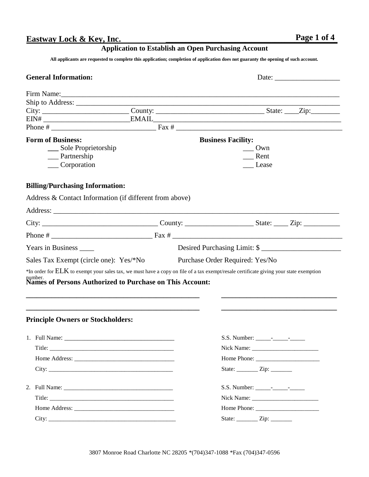# **Eastway Lock & Key, Inc. \_\_\_\_\_\_\_\_\_\_\_\_\_\_\_\_\_\_\_\_\_\_\_\_\_\_\_\_\_\_\_\_\_\_\_\_\_\_\_\_P\_\_a\_g\_\_\_ e 1\_\_o\_\_f 4\_\_**

## **Application to Establish an Open Purchasing Account**

All applicants are requested to complete this application; completion of application does not guaranty the opening of such account.

| <b>General Information:</b>                                                                                                                                                                                                    |                           |                                                                                                                                             |
|--------------------------------------------------------------------------------------------------------------------------------------------------------------------------------------------------------------------------------|---------------------------|---------------------------------------------------------------------------------------------------------------------------------------------|
| Firm Name: 1988 and 1988 and 1988 and 1988 and 1988 and 1988 and 1988 and 1988 and 1988 and 1988 and 1988 and 1988 and 1988 and 1988 and 1988 and 1988 and 1988 and 1988 and 1988 and 1988 and 1988 and 1988 and 1988 and 1988 |                           |                                                                                                                                             |
|                                                                                                                                                                                                                                |                           |                                                                                                                                             |
|                                                                                                                                                                                                                                |                           |                                                                                                                                             |
|                                                                                                                                                                                                                                |                           |                                                                                                                                             |
|                                                                                                                                                                                                                                |                           |                                                                                                                                             |
| <b>Form of Business:</b>                                                                                                                                                                                                       | <b>Business Facility:</b> |                                                                                                                                             |
| ___ Sole Proprietorship                                                                                                                                                                                                        |                           | $\_\_$ Own                                                                                                                                  |
| $\sqrt{P_{\text{at}}}$                                                                                                                                                                                                         |                           | $\frac{1}{2}$ Rent                                                                                                                          |
| __Corporation                                                                                                                                                                                                                  |                           | Lease                                                                                                                                       |
| <b>Billing/Purchasing Information:</b>                                                                                                                                                                                         |                           |                                                                                                                                             |
| Address & Contact Information (if different from above)                                                                                                                                                                        |                           |                                                                                                                                             |
|                                                                                                                                                                                                                                |                           |                                                                                                                                             |
|                                                                                                                                                                                                                                |                           |                                                                                                                                             |
|                                                                                                                                                                                                                                |                           |                                                                                                                                             |
| Years in Business ______                                                                                                                                                                                                       |                           | Desired Purchasing Limit: \$                                                                                                                |
| Sales Tax Exempt (circle one): Yes/*No                                                                                                                                                                                         |                           | Purchase Order Required: Yes/No                                                                                                             |
| number.<br>Names of Persons Authorized to Purchase on This Account:                                                                                                                                                            |                           | $*$ In order for $ELK$ to exempt your sales tax, we must have a copy on file of a tax exempt/resale certificate giving your state exemption |
| and the control of the control of the control of the control of the control of the control of the control of the<br><b>Principle Owners or Stockholders:</b>                                                                   |                           |                                                                                                                                             |
| 1. Full Name:                                                                                                                                                                                                                  |                           |                                                                                                                                             |
|                                                                                                                                                                                                                                |                           |                                                                                                                                             |
|                                                                                                                                                                                                                                |                           |                                                                                                                                             |
|                                                                                                                                                                                                                                |                           | State: __________ Zip: ________                                                                                                             |
|                                                                                                                                                                                                                                |                           |                                                                                                                                             |
|                                                                                                                                                                                                                                |                           |                                                                                                                                             |
|                                                                                                                                                                                                                                |                           |                                                                                                                                             |
|                                                                                                                                                                                                                                |                           | State: __________ Zip: ________                                                                                                             |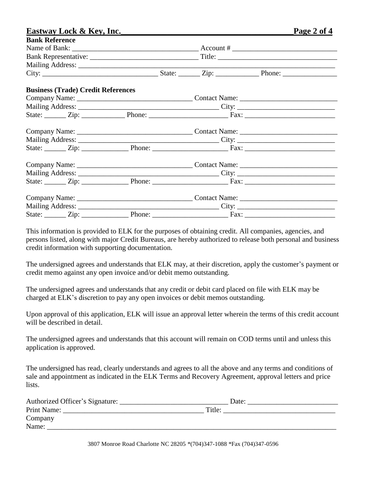|                       | Eastway Lock & Key, Inc.                  |  |  | Page 2 of 4 |
|-----------------------|-------------------------------------------|--|--|-------------|
| <b>Bank Reference</b> |                                           |  |  |             |
|                       |                                           |  |  |             |
|                       |                                           |  |  |             |
|                       |                                           |  |  |             |
|                       |                                           |  |  |             |
|                       | <b>Business (Trade) Credit References</b> |  |  |             |
|                       |                                           |  |  |             |
|                       |                                           |  |  |             |
|                       |                                           |  |  |             |
|                       |                                           |  |  |             |
|                       |                                           |  |  |             |
|                       |                                           |  |  |             |
|                       |                                           |  |  |             |
|                       |                                           |  |  |             |
|                       |                                           |  |  |             |
|                       |                                           |  |  |             |
|                       |                                           |  |  |             |
|                       |                                           |  |  |             |

This information is provided to ELK for the purposes of obtaining credit. All companies, agencies, and persons listed, along with major Credit Bureaus, are hereby authorized to release both personal and business credit information with supporting documentation.

The undersigned agrees and understands that ELK may, at their discretion, apply the customer's payment or credit memo against any open invoice and/or debit memo outstanding.

The undersigned agrees and understands that any credit or debit card placed on file with ELK may be charged at ELK's discretion to pay any open invoices or debit memos outstanding.

Upon approval of this application, ELK will issue an approval letter wherein the terms of this credit account will be described in detail.

The undersigned agrees and understands that this account will remain on COD terms until and unless this application is approved.

The undersigned has read, clearly understands and agrees to all the above and any terms and conditions of sale and appointment as indicated in the ELK Terms and Recovery Agreement, approval letters and price lists.

| Authorized Officer's Signature: | Date:  |  |
|---------------------------------|--------|--|
| Print Name:                     | Title: |  |
| Company                         |        |  |
| Name:                           |        |  |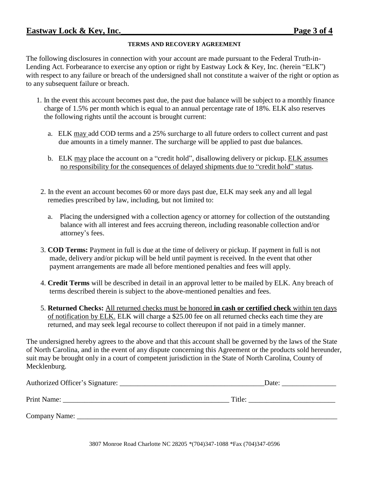#### **TERMS AND RECOVERY AGREEMENT**

The following disclosures in connection with your account are made pursuant to the Federal Truth-in-Lending Act. Forbearance to exercise any option or right by Eastway Lock & Key, Inc. (herein "ELK") with respect to any failure or breach of the undersigned shall not constitute a waiver of the right or option as to any subsequent failure or breach.

- 1. In the event this account becomes past due, the past due balance will be subject to a monthly finance charge of 1.5% per month which is equal to an annual percentage rate of 18%. ELK also reserves the following rights until the account is brought current:
	- a. ELK may add COD terms and a 25% surcharge to all future orders to collect current and past due amounts in a timely manner. The surcharge will be applied to past due balances.
	- b. ELK may place the account on a "credit hold", disallowing delivery or pickup. ELK assumes no responsibility for the consequences of delayed shipments due to "credit hold" status.
- 2. In the event an account becomes 60 or more days past due, ELK may seek any and all legal remedies prescribed by law, including, but not limited to:
	- a. Placing the undersigned with a collection agency or attorney for collection of the outstanding balance with all interest and fees accruing thereon, including reasonable collection and/or attorney's fees.
- 3. **COD Terms:** Payment in full is due at the time of delivery or pickup. If payment in full is not made, delivery and/or pickup will be held until payment is received. In the event that other payment arrangements are made all before mentioned penalties and fees will apply.
- 4. **Credit Terms** will be described in detail in an approval letter to be mailed by ELK. Any breach of terms described therein is subject to the above-mentioned penalties and fees.
- 5. **Returned Checks:** All returned checks must be honored **in cash or certified check** within ten days of notification by ELK. ELK will charge a \$25.00 fee on all returned checks each time they are returned, and may seek legal recourse to collect thereupon if not paid in a timely manner.

The undersigned hereby agrees to the above and that this account shall be governed by the laws of the State of North Carolina, and in the event of any dispute concerning this Agreement or the products sold hereunder, suit may be brought only in a court of competent jurisdiction in the State of North Carolina, County of Mecklenburg.

| Authorized Officer's Signature: | Date:  |
|---------------------------------|--------|
| Print Name:                     | Title: |
| Company Name:                   |        |